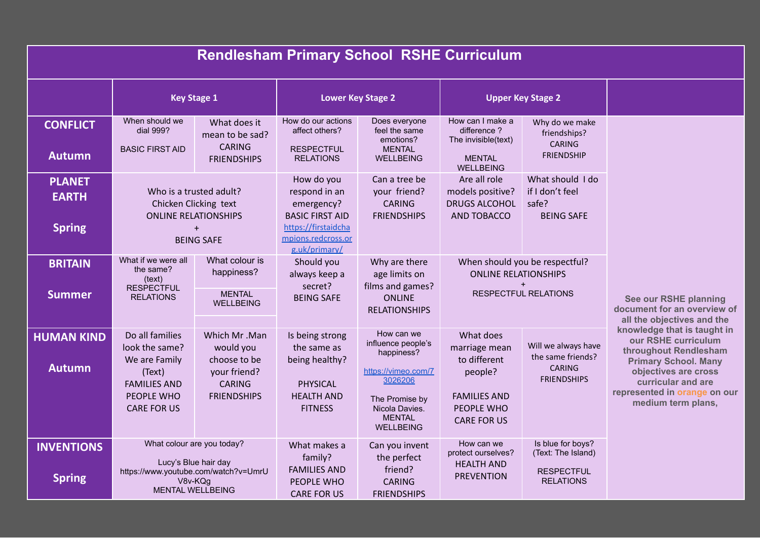| <b>Rendlesham Primary School RSHE Curriculum</b> |                                                                                                                                  |                                                                                                  |                                                                                                     |                                                                                                                                                           |                                                                                                                  |                                                                                  |                                                                                                                                                                                                                |  |  |  |  |  |
|--------------------------------------------------|----------------------------------------------------------------------------------------------------------------------------------|--------------------------------------------------------------------------------------------------|-----------------------------------------------------------------------------------------------------|-----------------------------------------------------------------------------------------------------------------------------------------------------------|------------------------------------------------------------------------------------------------------------------|----------------------------------------------------------------------------------|----------------------------------------------------------------------------------------------------------------------------------------------------------------------------------------------------------------|--|--|--|--|--|
|                                                  | <b>Key Stage 1</b>                                                                                                               |                                                                                                  | <b>Lower Key Stage 2</b>                                                                            |                                                                                                                                                           | <b>Upper Key Stage 2</b>                                                                                         |                                                                                  |                                                                                                                                                                                                                |  |  |  |  |  |
| <b>CONFLICT</b><br><b>Autumn</b>                 | When should we<br>dial 999?<br><b>BASIC FIRST AID</b>                                                                            | What does it<br>mean to be sad?<br><b>CARING</b><br><b>FRIENDSHIPS</b>                           | How do our actions<br>affect others?<br><b>RESPECTFUL</b><br><b>RELATIONS</b>                       | Does everyone<br>feel the same<br>emotions?<br><b>MENTAL</b><br><b>WELLBEING</b>                                                                          | How can I make a<br>difference?<br>The invisible(text)<br><b>MENTAL</b>                                          | Why do we make<br>friendships?<br><b>CARING</b><br><b>FRIENDSHIP</b>             |                                                                                                                                                                                                                |  |  |  |  |  |
| <b>PLANET</b><br><b>EARTH</b><br><b>Spring</b>   | Who is a trusted adult?<br>Chicken Clicking text<br><b>ONLINE RELATIONSHIPS</b><br>$\ddot{}$                                     |                                                                                                  | How do you<br>respond in an<br>emergency?<br><b>BASIC FIRST AID</b><br>https://firstaidcha          | Can a tree be<br>your friend?<br><b>CARING</b><br><b>FRIENDSHIPS</b>                                                                                      | <b>WELLBEING</b><br>Are all role<br>models positive?<br><b>DRUGS ALCOHOL</b><br>AND TOBACCO                      | What should I do<br>if I don't feel<br>safe?<br><b>BEING SAFE</b>                |                                                                                                                                                                                                                |  |  |  |  |  |
| <b>BRITAIN</b>                                   | What if we were all<br>the same?                                                                                                 | <b>BEING SAFE</b><br>What colour is<br>happiness?                                                | mpions.redcross.or<br>g.uk/primary/<br>Should you<br>always keep a                                  | Why are there<br>age limits on                                                                                                                            | <b>ONLINE RELATIONSHIPS</b>                                                                                      | When should you be respectful?                                                   |                                                                                                                                                                                                                |  |  |  |  |  |
| <b>Summer</b>                                    | (text)<br><b>RESPECTFUL</b><br><b>RELATIONS</b>                                                                                  | <b>MENTAL</b><br><b>WELLBEING</b>                                                                | secret?<br><b>BEING SAFE</b>                                                                        | films and games?<br><b>ONLINE</b><br><b>RELATIONSHIPS</b>                                                                                                 | $\ddot{}$<br><b>RESPECTFUL RELATIONS</b>                                                                         |                                                                                  | See our RSHE planning<br>document for an overview of<br>all the objectives and the                                                                                                                             |  |  |  |  |  |
| <b>HUMAN KIND</b><br><b>Autumn</b>               | Do all families<br>look the same?<br>We are Family<br>(Text)<br><b>FAMILIES AND</b><br>PEOPLE WHO<br><b>CARE FOR US</b>          | Which Mr.Man<br>would you<br>choose to be<br>your friend?<br><b>CARING</b><br><b>FRIENDSHIPS</b> | Is being strong<br>the same as<br>being healthy?<br>PHYSICAL<br><b>HEALTH AND</b><br><b>FITNESS</b> | How can we<br>influence people's<br>happiness?<br>https://vimeo.com/7<br>3026206<br>The Promise by<br>Nicola Davies.<br><b>MENTAL</b><br><b>WELLBEING</b> | What does<br>marriage mean<br>to different<br>people?<br><b>FAMILIES AND</b><br>PEOPLE WHO<br><b>CARE FOR US</b> | Will we always have<br>the same friends?<br><b>CARING</b><br><b>FRIENDSHIPS</b>  | knowledge that is taught in<br>our RSHE curriculum<br>throughout Rendlesham<br><b>Primary School. Many</b><br>objectives are cross<br>curricular and are<br>represented in orange on our<br>medium term plans, |  |  |  |  |  |
| <b>INVENTIONS</b><br><b>Spring</b>               | What colour are you today?<br>Lucy's Blue hair day<br>https://www.youtube.com/watch?v=UmrU<br>V8v-KQg<br><b>MENTAL WELLBEING</b> |                                                                                                  | What makes a<br>family?<br><b>FAMILIES AND</b><br>PEOPLE WHO<br><b>CARE FOR US</b>                  | Can you invent<br>the perfect<br>friend?<br><b>CARING</b><br><b>FRIENDSHIPS</b>                                                                           | How can we<br>protect ourselves?<br><b>HEALTH AND</b><br><b>PREVENTION</b>                                       | Is blue for boys?<br>(Text: The Island)<br><b>RESPECTFUL</b><br><b>RELATIONS</b> |                                                                                                                                                                                                                |  |  |  |  |  |